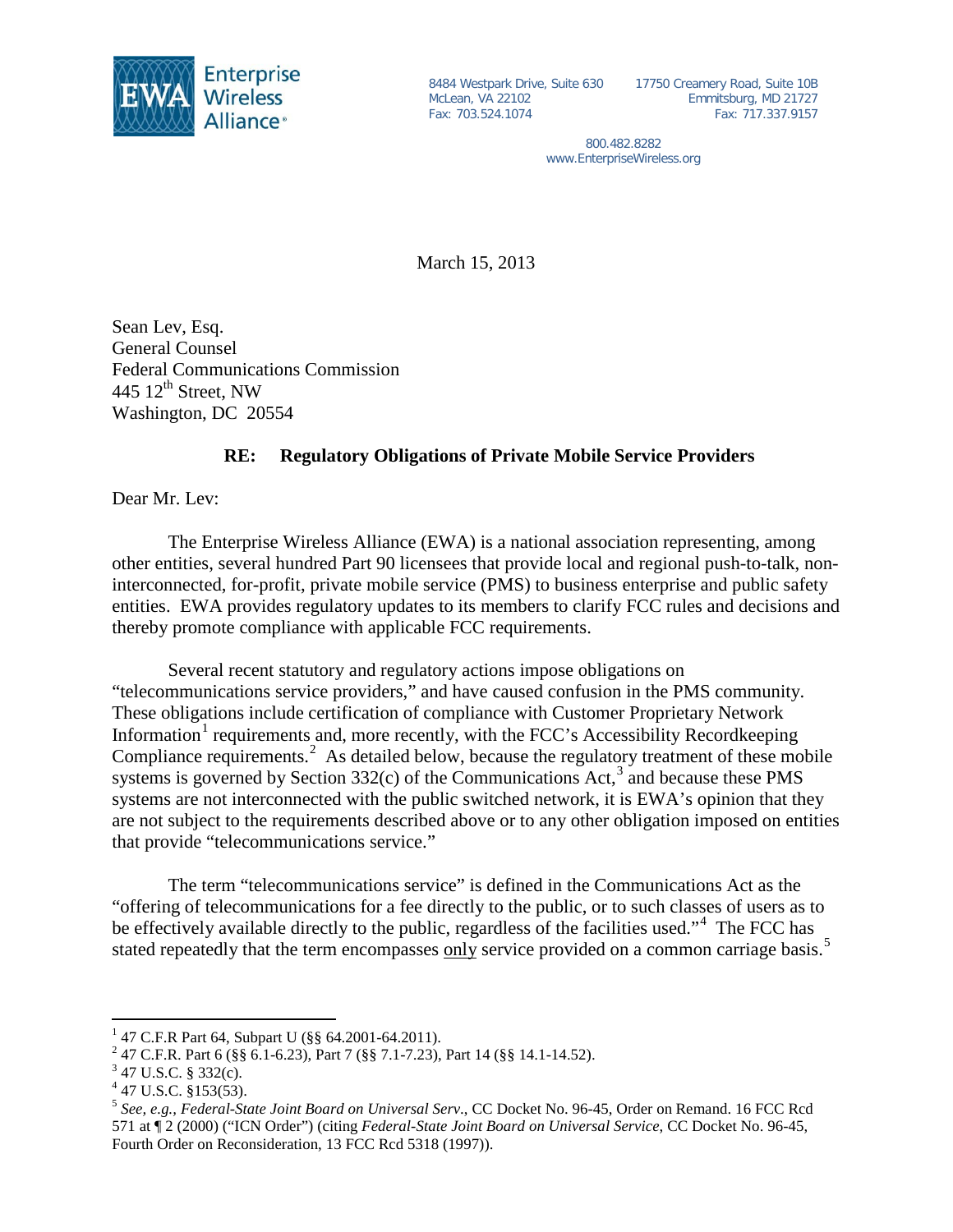

McLean, VA 22102 Fax: 703.524.1074

8484 Westpark Drive, Suite 630 17750 Creamery Road, Suite 10B Emmitsburg, MD 21727 Fax: 717.337.9157

> 800.482.8282 www.EnterpriseWireless.org

March 15, 2013

Sean Lev, Esq. General Counsel Federal Communications Commission 445  $12^{\text{th}}$  Street, NW Washington, DC 20554

## **RE: Regulatory Obligations of Private Mobile Service Providers**

Dear Mr. Lev:

The Enterprise Wireless Alliance (EWA) is a national association representing, among other entities, several hundred Part 90 licensees that provide local and regional push-to-talk, noninterconnected, for-profit, private mobile service (PMS) to business enterprise and public safety entities. EWA provides regulatory updates to its members to clarify FCC rules and decisions and thereby promote compliance with applicable FCC requirements.

Several recent statutory and regulatory actions impose obligations on "telecommunications service providers," and have caused confusion in the PMS community. These obligations include certification of compliance with Customer Proprietary Network Information<sup>[1](#page-0-0)</sup> requirements and, more recently, with the FCC's Accessibility Recordkeeping Compliance requirements.<sup>[2](#page-0-1)</sup> As detailed below, because the regulatory treatment of these mobile systems is governed by Section  $332(c)$  $332(c)$  of the Communications Act,<sup>3</sup> and because these PMS systems are not interconnected with the public switched network, it is EWA's opinion that they are not subject to the requirements described above or to any other obligation imposed on entities that provide "telecommunications service."

The term "telecommunications service" is defined in the Communications Act as the "offering of telecommunications for a fee directly to the public, or to such classes of users as to be effectively available directly to the public, regardless of the facilities used."<sup>[4](#page-0-3)</sup> The FCC has stated repeatedly that the term encompasses only service provided on a common carriage basis.<sup>[5](#page-0-4)</sup>

<span id="page-0-0"></span><sup>&</sup>lt;sup>1</sup> 47 C.F.R Part 64, Subpart U (§§ 64.2001-64.2011).<br><sup>2</sup> 47 C.F.R. Part 6 (§§ 6.1-6.23), Part 7 (§§ 7.1-7.23), Part 14 (§§ 14.1-14.52).<br><sup>3</sup> 47 U.S.C. § 332(c).

<span id="page-0-2"></span><span id="page-0-1"></span>

<span id="page-0-3"></span><sup>4</sup> 47 U.S.C. §153(53).

<span id="page-0-4"></span><sup>5</sup> *See, e.g., Federal-State Joint Board on Universal Serv*., CC Docket No. 96-45, Order on Remand. 16 FCC Rcd 571 at ¶ 2 (2000) ("ICN Order") (citing *Federal-State Joint Board on Universal Service*, CC Docket No. 96-45, Fourth Order on Reconsideration, 13 FCC Rcd 5318 (1997)).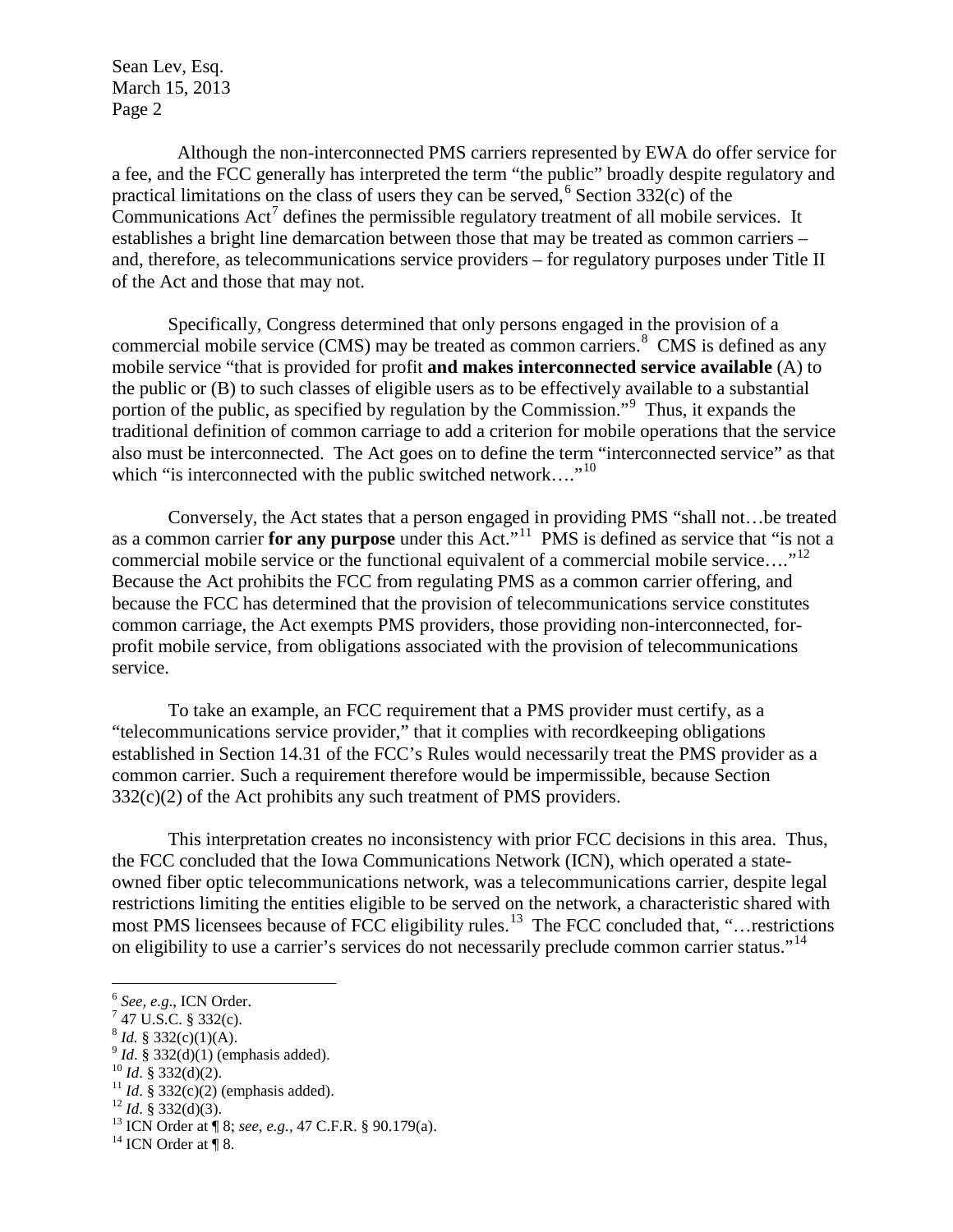Sean Lev, Esq. March 15, 2013 Page 2

 Although the non-interconnected PMS carriers represented by EWA do offer service for a fee, and the FCC generally has interpreted the term "the public" broadly despite regulatory and practical limitations on the class of users they can be served,  $6$  Section 332(c) of the Communications  $Act^7$  $Act^7$  defines the permissible regulatory treatment of all mobile services. It establishes a bright line demarcation between those that may be treated as common carriers – and, therefore, as telecommunications service providers – for regulatory purposes under Title II of the Act and those that may not.

Specifically, Congress determined that only persons engaged in the provision of a commercial mobile service (CMS) may be treated as common carriers. $8\text{ CMS}$  $8\text{ CMS}$  is defined as any mobile service "that is provided for profit **and makes interconnected service available** (A) to the public or (B) to such classes of eligible users as to be effectively available to a substantial portion of the public, as specified by regulation by the Commission."<sup>[9](#page-1-3)</sup> Thus, it expands the traditional definition of common carriage to add a criterion for mobile operations that the service also must be interconnected. The Act goes on to define the term "interconnected service" as that which "is interconnected with the public switched network...."<sup>[10](#page-1-4)</sup>

Conversely, the Act states that a person engaged in providing PMS "shall not…be treated as a common carrier **for any purpose** under this Act.<sup>"11</sup> PMS is defined as service that "is not a commercial mobile service or the functional equivalent of a commercial mobile service...."<sup>12</sup> Because the Act prohibits the FCC from regulating PMS as a common carrier offering, and because the FCC has determined that the provision of telecommunications service constitutes common carriage, the Act exempts PMS providers, those providing non-interconnected, forprofit mobile service, from obligations associated with the provision of telecommunications service.

To take an example, an FCC requirement that a PMS provider must certify, as a "telecommunications service provider," that it complies with recordkeeping obligations established in Section 14.31 of the FCC's Rules would necessarily treat the PMS provider as a common carrier. Such a requirement therefore would be impermissible, because Section  $332(c)(2)$  of the Act prohibits any such treatment of PMS providers.

This interpretation creates no inconsistency with prior FCC decisions in this area. Thus, the FCC concluded that the Iowa Communications Network (ICN), which operated a stateowned fiber optic telecommunications network, was a telecommunications carrier, despite legal restrictions limiting the entities eligible to be served on the network, a characteristic shared with most PMS licensees because of FCC eligibility rules.<sup>[13](#page-1-7)</sup> The FCC concluded that, "…restrictions" on eligibility to use a carrier's services do not necessarily preclude common carrier status."<sup>[14](#page-1-8)</sup>

- 
- 
- <span id="page-1-5"></span><span id="page-1-4"></span>
- 

<span id="page-1-0"></span><sup>&</sup>lt;sup>6</sup> *See, e.g.*, ICN Order.<br><sup>7</sup> 47 U.S.C. § 332(c).

<span id="page-1-7"></span><span id="page-1-6"></span>

<span id="page-1-3"></span><span id="page-1-2"></span><span id="page-1-1"></span><sup>&</sup>lt;sup>8</sup> *Id.* § 332(c)(1)(A).<br><sup>9</sup> *Id.* § 332(d)(1) (emphasis added).<br><sup>10</sup> *Id.* § 332(d)(2).<br><sup>11</sup> *Id.* § 332(c)(2) (emphasis added).<br><sup>12</sup> *Id.* § 332(d)(3).<br><sup>13</sup> ICN Order at ¶ 8; *see, e.g.*, 47 C.F.R. § 90.179(a).<br><sup>14</sup> IC

<span id="page-1-8"></span>